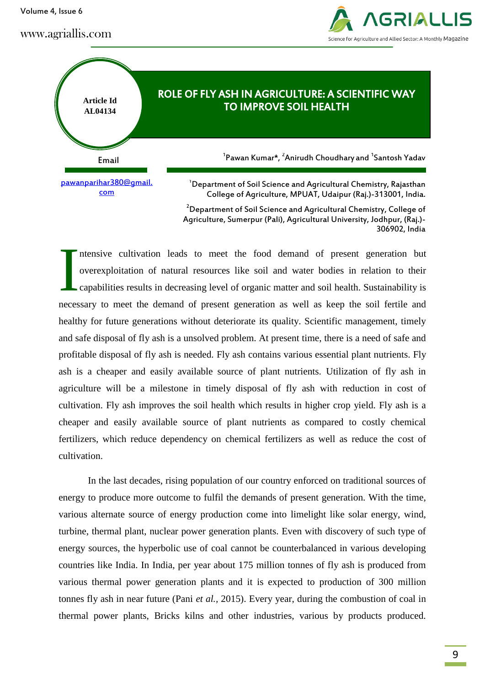Volume 4, Issue 6

### www.agriallis.com





ntensive cultivation leads to meet the food demand of present generation but overexploitation of natural resources like soil and water bodies in relation to their capabilities results in decreasing level of organic matter and soil health. Sustainability is necessary to meet the demand of present generation as well as keep the soil fertile and healthy for future generations without deteriorate its quality. Scientific management, timely and safe disposal of fly ash is a unsolved problem. At present time, there is a need of safe and profitable disposal of fly ash is needed. Fly ash contains various essential plant nutrients. Fly ash is a cheaper and easily available source of plant nutrients. Utilization of fly ash in agriculture will be a milestone in timely disposal of fly ash with reduction in cost of cultivation. Fly ash improves the soil health which results in higher crop yield. Fly ash is a cheaper and easily available source of plant nutrients as compared to costly chemical fertilizers, which reduce dependency on chemical fertilizers as well as reduce the cost of cultivation. I

In the last decades, rising population of our country enforced on traditional sources of energy to produce more outcome to fulfil the demands of present generation. With the time, various alternate source of energy production come into limelight like solar energy, wind, turbine, thermal plant, nuclear power generation plants. Even with discovery of such type of energy sources, the hyperbolic use of coal cannot be counterbalanced in various developing countries like India. In India, per year about 175 million tonnes of fly ash is produced from various thermal power generation plants and it is expected to production of 300 million tonnes fly ash in near future (Pani *et al.,* 2015). Every year, during the combustion of coal in thermal power plants, Bricks kilns and other industries, various by products produced.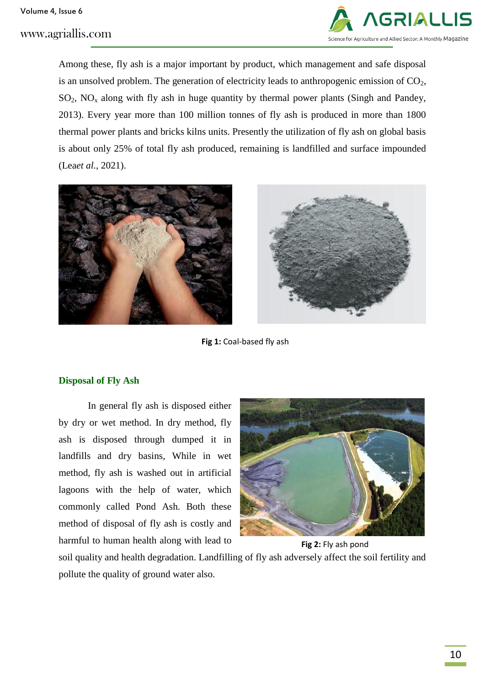www.agriallis.com



Among these, fly ash is a major important by product, which management and safe disposal is an unsolved problem. The generation of electricity leads to anthropogenic emission of  $CO<sub>2</sub>$ ,  $SO_2$ ,  $NO_x$  along with fly ash in huge quantity by thermal power plants (Singh and Pandey, 2013). Every year more than 100 million tonnes of fly ash is produced in more than 1800 thermal power plants and bricks kilns units. Presently the utilization of fly ash on global basis is about only 25% of total fly ash produced, remaining is landfilled and surface impounded (Lea*et al.,* 2021).



**Fig 1:** Coal-based fly ash

## **Disposal of Fly Ash**

In general fly ash is disposed either by dry or wet method. In dry method, fly ash is disposed through dumped it in landfills and dry basins, While in wet method, fly ash is washed out in artificial lagoons with the help of water, which commonly called Pond Ash. Both these method of disposal of fly ash is costly and harmful to human health along with lead to



**Fig 2:** Fly ash pond

soil quality and health degradation. Landfilling of fly ash adversely affect the soil fertility and pollute the quality of ground water also.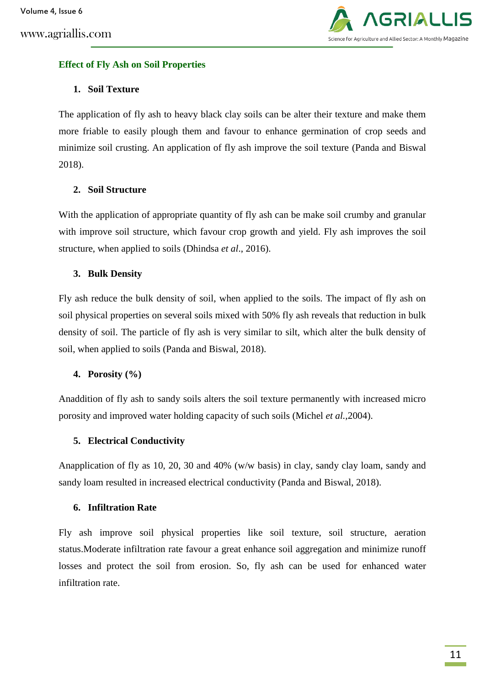

## **Effect of Fly Ash on Soil Properties**

# **1. Soil Texture**

The application of fly ash to heavy black clay soils can be alter their texture and make them more friable to easily plough them and favour to enhance germination of crop seeds and minimize soil crusting. An application of fly ash improve the soil texture (Panda and Biswal 2018).

# **2. Soil Structure**

With the application of appropriate quantity of fly ash can be make soil crumby and granular with improve soil structure, which favour crop growth and yield. Fly ash improves the soil structure, when applied to soils (Dhindsa *et al*., 2016).

## **3. Bulk Density**

Fly ash reduce the bulk density of soil, when applied to the soils. The impact of fly ash on soil physical properties on several soils mixed with 50% fly ash reveals that reduction in bulk density of soil. The particle of fly ash is very similar to silt, which alter the bulk density of soil, when applied to soils (Panda and Biswal, 2018).

## **4. Porosity (%)**

Anaddition of fly ash to sandy soils alters the soil texture permanently with increased micro porosity and improved water holding capacity of such soils (Michel *et al.,*2004).

## **5. Electrical Conductivity**

Anapplication of fly as 10, 20, 30 and 40% (w/w basis) in clay, sandy clay loam, sandy and sandy loam resulted in increased electrical conductivity (Panda and Biswal, 2018).

## **6. Infiltration Rate**

Fly ash improve soil physical properties like soil texture, soil structure, aeration status.Moderate infiltration rate favour a great enhance soil aggregation and minimize runoff losses and protect the soil from erosion. So, fly ash can be used for enhanced water infiltration rate.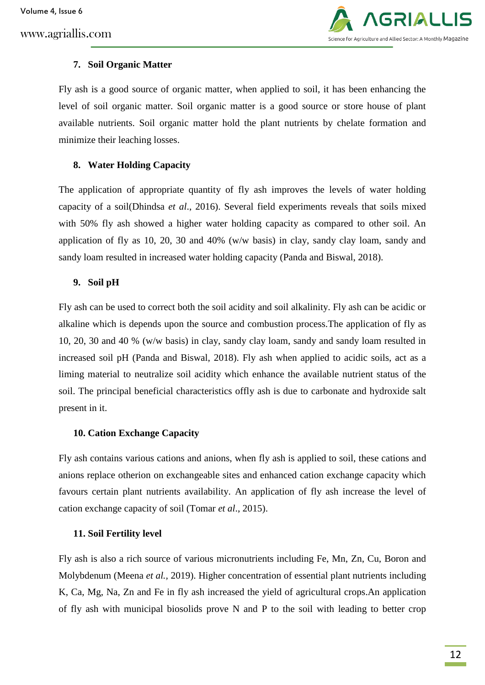www.agriallis.com



### **7. Soil Organic Matter**

Fly ash is a good source of organic matter, when applied to soil, it has been enhancing the level of soil organic matter. Soil organic matter is a good source or store house of plant available nutrients. Soil organic matter hold the plant nutrients by chelate formation and minimize their leaching losses.

### **8. Water Holding Capacity**

The application of appropriate quantity of fly ash improves the levels of water holding capacity of a soil(Dhindsa *et al*., 2016). Several field experiments reveals that soils mixed with 50% fly ash showed a higher water holding capacity as compared to other soil. An application of fly as 10, 20, 30 and 40% (w/w basis) in clay, sandy clay loam, sandy and sandy loam resulted in increased water holding capacity (Panda and Biswal, 2018).

#### **9. Soil pH**

Fly ash can be used to correct both the soil acidity and soil alkalinity. Fly ash can be acidic or alkaline which is depends upon the source and combustion process.The application of fly as 10, 20, 30 and 40 % (w/w basis) in clay, sandy clay loam, sandy and sandy loam resulted in increased soil pH (Panda and Biswal, 2018). Fly ash when applied to acidic soils, act as a liming material to neutralize soil acidity which enhance the available nutrient status of the soil. The principal beneficial characteristics offly ash is due to carbonate and hydroxide salt present in it.

#### **10. Cation Exchange Capacity**

Fly ash contains various cations and anions, when fly ash is applied to soil, these cations and anions replace otherion on exchangeable sites and enhanced cation exchange capacity which favours certain plant nutrients availability. An application of fly ash increase the level of cation exchange capacity of soil (Tomar *et al*., 2015).

## **11. Soil Fertility level**

Fly ash is also a rich source of various micronutrients including Fe, Mn, Zn, Cu, Boron and Molybdenum (Meena *et al.,* 2019). Higher concentration of essential plant nutrients including K, Ca, Mg, Na, Zn and Fe in fly ash increased the yield of agricultural crops.An application of fly ash with municipal biosolids prove N and P to the soil with leading to better crop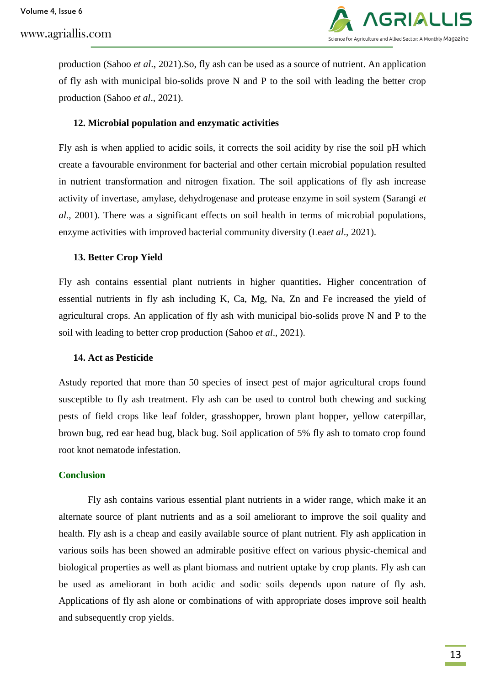Volume 4, Issue 6

www.agriallis.com



production (Sahoo *et al*., 2021).So, fly ash can be used as a source of nutrient. An application of fly ash with municipal bio-solids prove N and P to the soil with leading the better crop production (Sahoo *et al*., 2021).

### **12. Microbial population and enzymatic activities**

Fly ash is when applied to acidic soils, it corrects the soil acidity by rise the soil pH which create a favourable environment for bacterial and other certain microbial population resulted in nutrient transformation and nitrogen fixation. The soil applications of fly ash increase activity of invertase, amylase, dehydrogenase and protease enzyme in soil system (Sarangi *et al*., 2001). There was a significant effects on soil health in terms of microbial populations, enzyme activities with improved bacterial community diversity (Lea*et al*., 2021).

### **13. Better Crop Yield**

Fly ash contains essential plant nutrients in higher quantities**.** Higher concentration of essential nutrients in fly ash including K, Ca, Mg, Na, Zn and Fe increased the yield of agricultural crops. An application of fly ash with municipal bio-solids prove N and P to the soil with leading to better crop production (Sahoo *et al*., 2021).

#### **14. Act as Pesticide**

Astudy reported that more than 50 species of insect pest of major agricultural crops found susceptible to fly ash treatment. Fly ash can be used to control both chewing and sucking pests of field crops like leaf folder, grasshopper, brown plant hopper, yellow caterpillar, brown bug, red ear head bug, black bug. Soil application of 5% fly ash to tomato crop found root knot nematode infestation.

#### **Conclusion**

Fly ash contains various essential plant nutrients in a wider range, which make it an alternate source of plant nutrients and as a soil ameliorant to improve the soil quality and health. Fly ash is a cheap and easily available source of plant nutrient. Fly ash application in various soils has been showed an admirable positive effect on various physic-chemical and biological properties as well as plant biomass and nutrient uptake by crop plants. Fly ash can be used as ameliorant in both acidic and sodic soils depends upon nature of fly ash. Applications of fly ash alone or combinations of with appropriate doses improve soil health and subsequently crop yields.